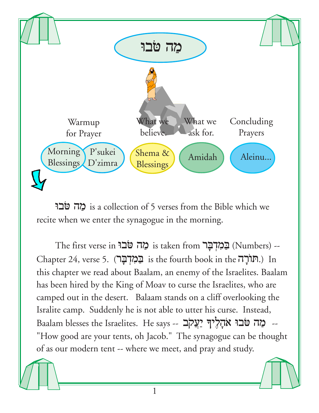

ה מה טבו is a collection of 5 verses from the Bible which we recite when we enter the synagogue in the morning.

The first verse in הַמְדִבָּר is taken from בַּמְדִבָּר (Numbers) -- $Chapter 24$ , verse 5. (הורה is the fourth book in the הורה.) In this chapter we read about Baalam, an enemy of the Israelites. Baalam has been hired by the King of Moav to curse the Israelites, who are camped out in the desert. Balaam stands on a cliff overlooking the Isralite camp. Suddenly he is not able to utter his curse. Instead, Baalam blesses the Israelites. He says -- **מַה טֹבוּ א**ֹחָלִיךְ יַעֲקֹב "How good are your tents, oh Jacob." The synagogue can be thought of as our modern tent -- where we meet, and pray and study.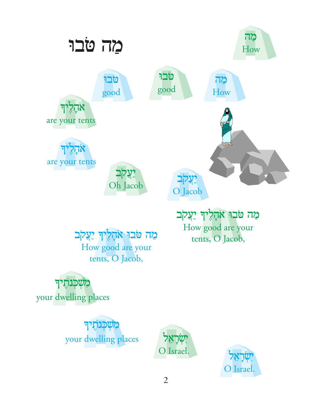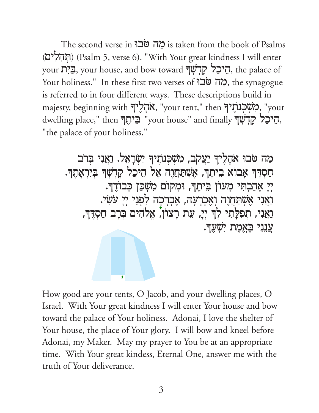The second verse in הה מה is taken from the book of Psalms (תְהִלִים) (Psalm 5, verse 6). "With Your great kindness I will enter your בְּיָת, your house, and bow toward הֵיכַל קְדְשָׁךְ, the palace of Your holiness." In these first two verses of מה פֹאבוּ the synagogue is referred to in four different ways. These descriptions build in majesty, beginning with "אֲהָלֶיךָ, "your tent," then "מִשְׁכְנֹתְיךָ, "your dwelling place," then "בֵיהָךְ "your house" and finally הֵיכַל קַדְשָׁךָ "the palace of your holiness."

מַה טֹבוּ אֹהָלֵיךְ יַעֲקֹב, מִשְׁכִּנְתֶיךְ יִשְׂרָאֵל. וַאֲנִי בִּרֹב חַסְרְךָ אָבוֹא בִיתִךְ, אָשְׁתַּחֲוָה אֵל הֵיכַל קָדְשָׁךָ בִּיִרְאָתֵךָ. יִיַ אֲהַבְתִּי מְעוֹן בֵיתֵךְ, וּמִקוֹם מְשָׁכַּן כִּבוֹדֵךְ. וַאֲנִי אָשְׁתַּחֲוֶה וְאֶכְרָעָה, אֶבְרְכָה לִתְּנִי יְיָ עֹשִׂי. נַאֲנִי, תִפִלָּתִי לְךָ יְיָ, עֵת רָצוֹן', אֱלֹהִים בְּרָב חַסְדֶּךָ, עֲנֶנִי בֵאֲמֶת יְשָׁעֲךָ.

How good are your tents, O Jacob, and your dwelling places, O Israel. With Your great kindness I will enter Your house and bow toward the palace of Your holiness. Adonai, I love the shelter of Your house, the place of Your glory. I will bow and kneel before Adonai, my Maker. May my prayer to You be at an appropriate time. With Your great kindess, Eternal One, answer me with the truth of Your deliverance.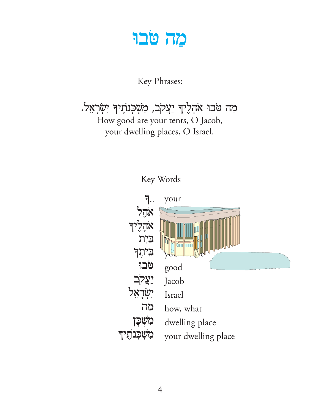## מה טֹבוּ

Key Phrases:

מַה טֹּבוּ אֹהָלֶיךְּ יַעֲקֹב, מִשְׁבְּנֹתֶיךְ יִשְׂרָאֵל.

How good are your tents, O Jacob, your dwelling places, O Israel.



Key Words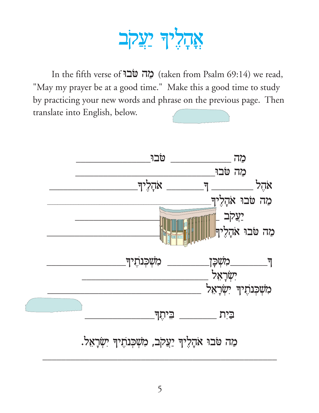## אָהָלִיךְ יַעֲקֹב

In the fifth verse of **בֹר טֹבוּ** (taken from Psalm 69:14) we read, "May my prayer be at a good time." Make this a good time to study by practicing your new words and phrase on the previous page. Then translate into English, below.

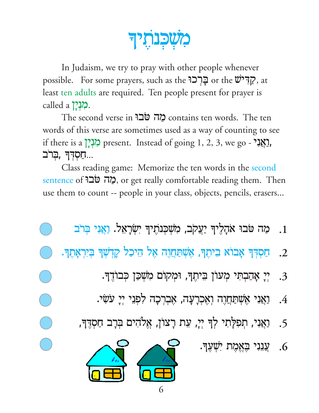וכנתיד

In Judaism, we try to pray with other people whenever possible. For some prayers, such as the הֲרָכוּ or the  $\ddot{\mathbf{v}}$ ?, at least ten adults are required. Ten people present for prayer is called a  $\sum$ .

The second verse in **בור טבו** contains ten words. The ten words of this verse are sometimes used as a way of counting to see if there is a לְגְיָן present. Instead of going 1, 2, 3, we go -  $\frac{1}{2}$ <u>חַסְדְךְ בְרב...</u>

Class reading game: Memorize the ten words in the second sentence of פְאָה פֿוב or get really comfortable reading them. Then use them to count -- people in your class, objects, pencils, erasers...

- מַה טֹּבוּ אֹהָלֶיךָ יַעֲקֹב, מִשְׁכְּנוֹתֶיךָ יִשְׂרָאָל. וַאֲנִי בְּרֹב  $\cdot$ 1
- ּחַסְדְּךָ אָבוֹא בִיתֶךְ, אָשְׁתַּחֲוֶה אֶל הֵיכַל קָדְשְׁךָּ בְּיִרְאָתֵךָ.  $\cdot$  2
	- יִי אָהַבְתִּי מִעוֹן בִּיתֵךְ, וּמִקוֹם מִשְׁכַּן כִּבוֹדֵךָ.  $\cdot$ 3
	- ַוַאֲנִי אִשְׁתַחַוָה וְאִכְרָעָה, אָבְרָכָה לְפְנֵי יִיָ עֹשִׂי.  $.4\,$
	- וַאֲנִי, תְפִלְתִי לְךָ יְיָ, עֵת רְצוֹן, אֱלֹהִים בְּרָב חַסְדֶּךָ,  $.5$ 
		- ַעֲנִנִי בָּאֱמֶת יִשְׁעֶךָ.  $.6$



 $\bigcirc$ 

 $\bigcirc$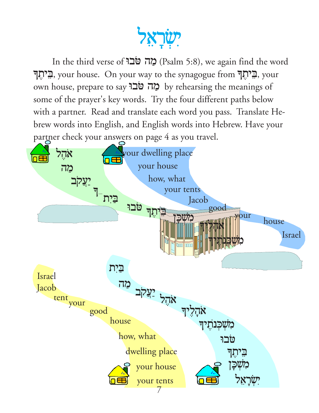

In the third verse of **בְּה טֹב**ּ (Psalm 5:8), we again find the word òt,yBe, your house. On your way to the synagogue from òt,yBe, your own house, prepare to say **בְּה טֹב**וּ by rehearsing the meanings of some of the prayer's key words. Try the four different paths below with a partner. Read and translate each word you pass. Translate Hebrew words into English, and English words into Hebrew. Have your partner check your answers on page 4 as you travel.